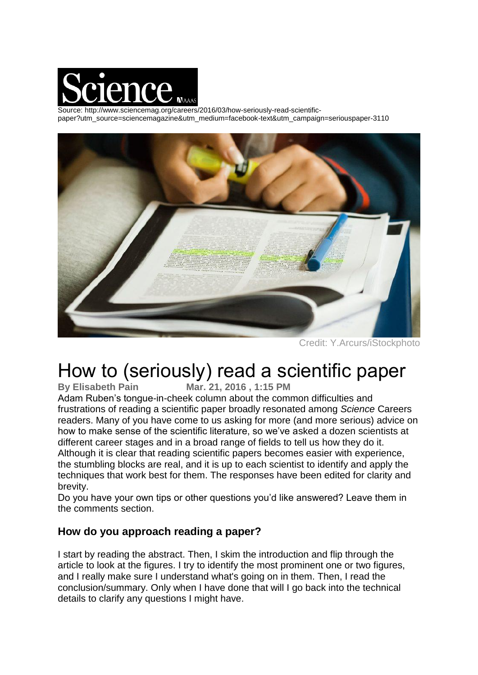

Source: http://www.sciencemag.org/careers/2016/03/how-seriously-read-scientificpaper?utm\_source=sciencemagazine&utm\_medium=facebook-text&utm\_campaign=seriouspaper-3110



Credit: Y.Arcurs/iStockphoto

# How to (seriously) read a scientific paper<br>By Elisabeth Pain<br>Mar. 21, 2016, 1:15 PM

**By Elisabeth Pain Mar. 21, 2016 , 1:15 PM**

Adam Ruben's tongue-in-cheek column about the common difficulties and frustrations of reading a scientific paper broadly resonated among *Science* Careers readers. Many of you have come to us asking for more (and more serious) advice on how to make sense of the scientific literature, so we've asked a dozen scientists at different career stages and in a broad range of fields to tell us how they do it. Although it is clear that reading scientific papers becomes easier with experience, the stumbling blocks are real, and it is up to each scientist to identify and apply the techniques that work best for them. The responses have been edited for clarity and brevity.

Do you have your own tips or other questions you'd like answered? Leave them in the comments section.

## **How do you approach reading a paper?**

I start by reading the abstract. Then, I skim the introduction and flip through the article to look at the figures. I try to identify the most prominent one or two figures, and I really make sure I understand what's going on in them. Then, I read the conclusion/summary. Only when I have done that will I go back into the technical details to clarify any questions I might have.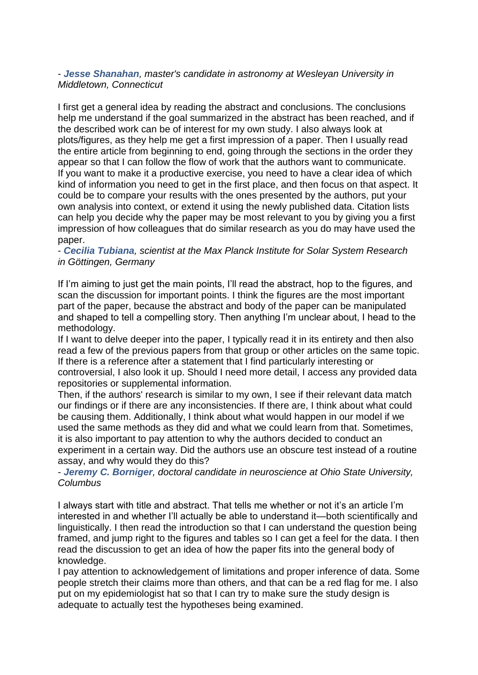## - *[Jesse Shanahan](http://enceladosaur.us/), master's candidate in astronomy at Wesleyan University in Middletown, Connecticut*

I first get a general idea by reading the abstract and conclusions. The conclusions help me understand if the goal summarized in the abstract has been reached, and if the described work can be of interest for my own study. I also always look at plots/figures, as they help me get a first impression of a paper. Then I usually read the entire article from beginning to end, going through the sections in the order they appear so that I can follow the flow of work that the authors want to communicate. If you want to make it a productive exercise, you need to have a clear idea of which kind of information you need to get in the first place, and then focus on that aspect. It could be to compare your results with the ones presented by the authors, put your own analysis into context, or extend it using the newly published data. Citation lists can help you decide why the paper may be most relevant to you by giving you a first impression of how colleagues that do similar research as you do may have used the paper.

#### - *[Cecilia Tubiana](http://www.mps.mpg.de/mitarbeiter/19854/74052/), scientist at the Max Planck Institute for Solar System Research in Göttingen, Germany*

If I'm aiming to just get the main points, I'll read the abstract, hop to the figures, and scan the discussion for important points. I think the figures are the most important part of the paper, because the abstract and body of the paper can be manipulated and shaped to tell a compelling story. Then anything I'm unclear about, I head to the methodology.

If I want to delve deeper into the paper, I typically read it in its entirety and then also read a few of the previous papers from that group or other articles on the same topic. If there is a reference after a statement that I find particularly interesting or controversial, I also look it up. Should I need more detail, I access any provided data repositories or supplemental information.

Then, if the authors' research is similar to my own, I see if their relevant data match our findings or if there are any inconsistencies. If there are, I think about what could be causing them. Additionally, I think about what would happen in our model if we used the same methods as they did and what we could learn from that. Sometimes, it is also important to pay attention to why the authors decided to conduct an experiment in a certain way. Did the authors use an obscure test instead of a routine assay, and why would they do this?

## - *[Jeremy C. Borniger](https://ngsp.osu.edu/people/jeremy.borniger), doctoral candidate in neuroscience at Ohio State University, Columbus*

I always start with title and abstract. That tells me whether or not it's an article I'm interested in and whether I'll actually be able to understand it—both scientifically and linguistically. I then read the introduction so that I can understand the question being framed, and jump right to the figures and tables so I can get a feel for the data. I then read the discussion to get an idea of how the paper fits into the general body of knowledge.

I pay attention to acknowledgement of limitations and proper inference of data. Some people stretch their claims more than others, and that can be a red flag for me. I also put on my epidemiologist hat so that I can try to make sure the study design is adequate to actually test the hypotheses being examined.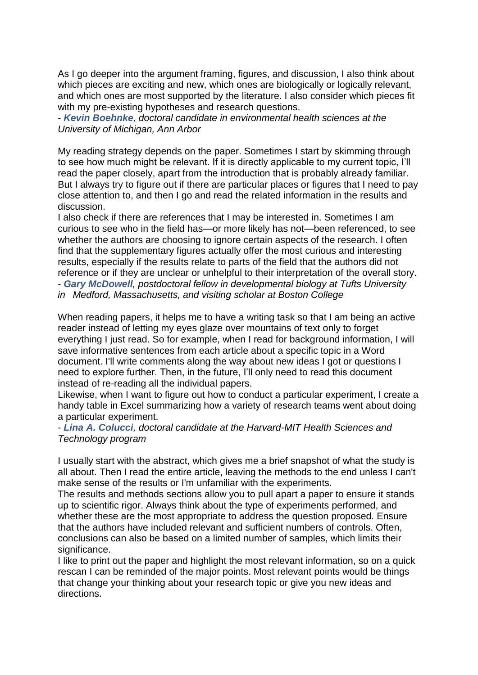As I go deeper into the argument framing, figures, and discussion, I also think about which pieces are exciting and new, which ones are biologically or logically relevant, and which ones are most supported by the literature. I also consider which pieces fit with my pre-existing hypotheses and research questions.

- *[Kevin Boehnke](http://itims.med.umich.edu/people/kevin-boehnke), doctoral candidate in environmental health sciences at the University of Michigan, Ann Arbor*

My reading strategy depends on the paper. Sometimes I start by skimming through to see how much might be relevant. If it is directly applicable to my current topic, I'll read the paper closely, apart from the introduction that is probably already familiar. But I always try to figure out if there are particular places or figures that I need to pay close attention to, and then I go and read the related information in the results and discussion.

I also check if there are references that I may be interested in. Sometimes I am curious to see who in the field has—or more likely has not—been referenced, to see whether the authors are choosing to ignore certain aspects of the research. I often find that the supplementary figures actually offer the most curious and interesting results, especially if the results relate to parts of the field that the authors did not reference or if they are unclear or unhelpful to their interpretation of the overall story. - *[Gary McDowell](http://ase.tufts.edu/biology/labs/levin/people/currentMembers.htm), postdoctoral fellow in developmental biology at Tufts University in Medford, Massachusetts, and visiting scholar at Boston College*

When reading papers, it helps me to have a writing task so that I am being an active reader instead of letting my eyes glaze over mountains of text only to forget everything I just read. So for example, when I read for background information, I will save informative sentences from each article about a specific topic in a Word document. I'll write comments along the way about new ideas I got or questions I need to explore further. Then, in the future, I'll only need to read this document instead of re-reading all the individual papers.

Likewise, when I want to figure out how to conduct a particular experiment, I create a handy table in Excel summarizing how a variety of research teams went about doing a particular experiment.

- *[Lina A. Colucci](http://www.linacolucci.com/), doctoral candidate at the Harvard-MIT Health Sciences and Technology program*

I usually start with the abstract, which gives me a brief snapshot of what the study is all about. Then I read the entire article, leaving the methods to the end unless I can't make sense of the results or I'm unfamiliar with the experiments.

The results and methods sections allow you to pull apart a paper to ensure it stands up to scientific rigor. Always think about the type of experiments performed, and whether these are the most appropriate to address the question proposed. Ensure that the authors have included relevant and sufficient numbers of controls. Often, conclusions can also be based on a limited number of samples, which limits their significance.

I like to print out the paper and highlight the most relevant information, so on a quick rescan I can be reminded of the major points. Most relevant points would be things that change your thinking about your research topic or give you new ideas and directions.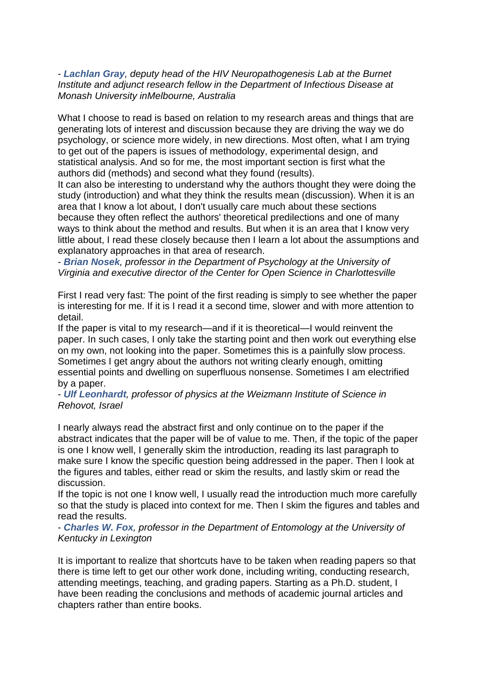## - *[Lachlan Gray](https://www.burnet.edu.au/staff_members/33_lachlan_gray), deputy head of the HIV Neuropathogenesis Lab at the Burnet Institute and adjunct research fellow in the Department of Infectious Disease at Monash University inMelbourne, Australia*

What I choose to read is based on relation to my research areas and things that are generating lots of interest and discussion because they are driving the way we do psychology, or science more widely, in new directions. Most often, what I am trying to get out of the papers is issues of methodology, experimental design, and statistical analysis. And so for me, the most important section is first what the authors did (methods) and second what they found (results).

It can also be interesting to understand why the authors thought they were doing the study (introduction) and what they think the results mean (discussion). When it is an area that I know a lot about, I don't usually care much about these sections because they often reflect the authors' theoretical predilections and one of many ways to think about the method and results. But when it is an area that I know very little about, I read these closely because then I learn a lot about the assumptions and explanatory approaches in that area of research.

- *[Brian Nosek](http://projectimplicit.net/nosek/), professor in the Department of Psychology at the University of Virginia and executive director of the Center for Open Science in Charlottesville*

First I read very fast: The point of the first reading is simply to see whether the paper is interesting for me. If it is I read it a second time, slower and with more attention to detail.

If the paper is vital to my research—and if it is theoretical—I would reinvent the paper. In such cases, I only take the starting point and then work out everything else on my own, not looking into the paper. Sometimes this is a painfully slow process. Sometimes I get angry about the authors not writing clearly enough, omitting essential points and dwelling on superfluous nonsense. Sometimes I am electrified by a paper.

- *[Ulf Leonhardt](http://ulfleonhardt.weizmann.ac.il/), professor of physics at the Weizmann Institute of Science in Rehovot, Israel*

I nearly always read the abstract first and only continue on to the paper if the abstract indicates that the paper will be of value to me. Then, if the topic of the paper is one I know well, I generally skim the introduction, reading its last paragraph to make sure I know the specific question being addressed in the paper. Then I look at the figures and tables, either read or skim the results, and lastly skim or read the discussion.

If the topic is not one I know well, I usually read the introduction much more carefully so that the study is placed into context for me. Then I skim the figures and tables and read the results.

#### - *[Charles W. Fox](http://www.uky.edu/~cfox/chuck.html), professor in the Department of Entomology at the University of Kentucky in Lexington*

It is important to realize that shortcuts have to be taken when reading papers so that there is time left to get our other work done, including writing, conducting research, attending meetings, teaching, and grading papers. Starting as a Ph.D. student, I have been reading the conclusions and methods of academic journal articles and chapters rather than entire books.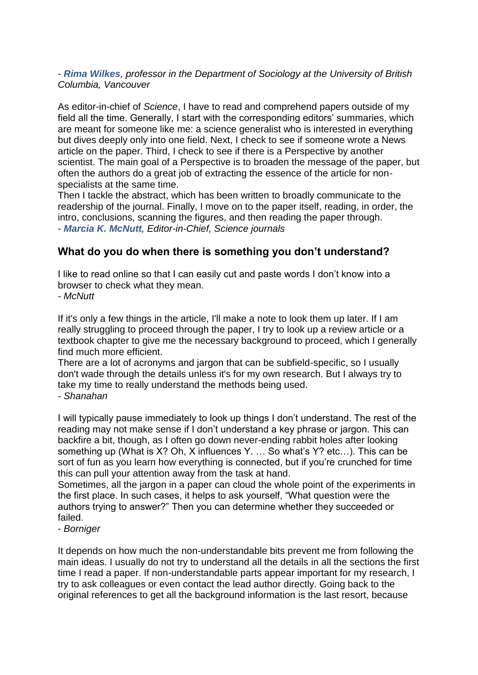## - *Rima [Wilkes](http://soci.ubc.ca/persons/rima-wilkes/), professor in the Department of Sociology at the University of British Columbia, Vancouver*

As editor-in-chief of *Science*, I have to read and comprehend papers outside of my field all the time. Generally, I start with the corresponding editors' summaries, which are meant for someone like me: a science generalist who is interested in everything but dives deeply only into one field. Next, I check to see if someone wrote a News article on the paper. Third, I check to see if there is a Perspective by another scientist. The main goal of a Perspective is to broaden the message of the paper, but often the authors do a great job of extracting the essence of the article for nonspecialists at the same time.

Then I tackle the abstract, which has been written to broadly communicate to the readership of the journal. Finally, I move on to the paper itself, reading, in order, the intro, conclusions, scanning the figures, and then reading the paper through. - *[Marcia K. McNutt](https://www.sciencemag.org/about/leadership-and-management), Editor-in-Chief, Science journals*

# **What do you do when there is something you don't understand?**

I like to read online so that I can easily cut and paste words I don't know into a browser to check what they mean.

*- McNutt*

If it's only a few things in the article, I'll make a note to look them up later. If I am really struggling to proceed through the paper, I try to look up a review article or a textbook chapter to give me the necessary background to proceed, which I generally find much more efficient.

There are a lot of acronyms and jargon that can be subfield-specific, so I usually don't wade through the details unless it's for my own research. But I always try to take my time to really understand the methods being used. *- Shanahan*

I will typically pause immediately to look up things I don't understand. The rest of the reading may not make sense if I don't understand a key phrase or jargon. This can backfire a bit, though, as I often go down never-ending rabbit holes after looking something up (What is X? Oh, X influences Y. … So what's Y? etc…). This can be sort of fun as you learn how everything is connected, but if you're crunched for time this can pull your attention away from the task at hand.

Sometimes, all the jargon in a paper can cloud the whole point of the experiments in the first place. In such cases, it helps to ask yourself, "What question were the authors trying to answer?" Then you can determine whether they succeeded or failed.

#### - *Borniger*

It depends on how much the non-understandable bits prevent me from following the main ideas. I usually do not try to understand all the details in all the sections the first time I read a paper. If non-understandable parts appear important for my research, I try to ask colleagues or even contact the lead author directly. Going back to the original references to get all the background information is the last resort, because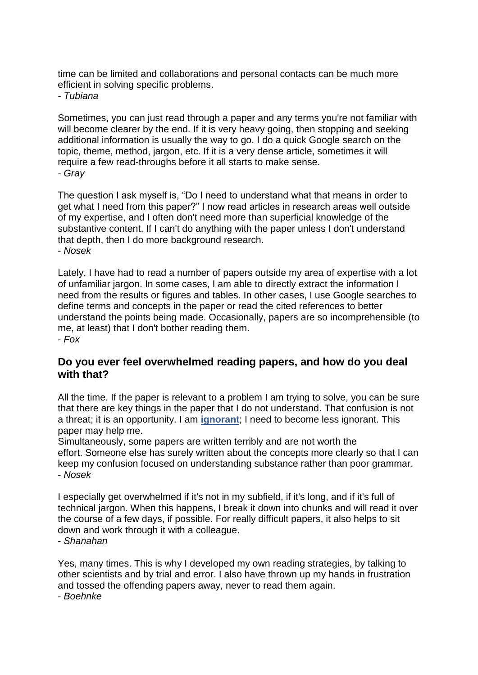time can be limited and collaborations and personal contacts can be much more efficient in solving specific problems.

*- Tubiana*

Sometimes, you can just read through a paper and any terms you're not familiar with will become clearer by the end. If it is very heavy going, then stopping and seeking additional information is usually the way to go. I do a quick Google search on the topic, theme, method, jargon, etc. If it is a very dense article, sometimes it will require a few read-throughs before it all starts to make sense. *- Gray*

The question I ask myself is, "Do I need to understand what that means in order to get what I need from this paper?" I now read articles in research areas well outside of my expertise, and I often don't need more than superficial knowledge of the substantive content. If I can't do anything with the paper unless I don't understand that depth, then I do more background research. - *Nosek*

Lately, I have had to read a number of papers outside my area of expertise with a lot of unfamiliar jargon. In some cases, I am able to directly extract the information I need from the results or figures and tables. In other cases, I use Google searches to define terms and concepts in the paper or read the cited references to better understand the points being made. Occasionally, papers are so incomprehensible (to me, at least) that I don't bother reading them. - *Fox*

# **Do you ever feel overwhelmed reading papers, and how do you deal with that?**

All the time. If the paper is relevant to a problem I am trying to solve, you can be sure that there are key things in the paper that I do not understand. That confusion is not a threat; it is an opportunity. I am **[ignorant](http://jcs.biologists.org/content/121/11/1771.short)**; I need to become less ignorant. This paper may help me.

Simultaneously, some papers are written terribly and are not worth the effort. Someone else has surely written about the concepts more clearly so that I can keep my confusion focused on understanding substance rather than poor grammar. - *Nosek*

I especially get overwhelmed if it's not in my subfield, if it's long, and if it's full of technical jargon. When this happens, I break it down into chunks and will read it over the course of a few days, if possible. For really difficult papers, it also helps to sit down and work through it with a colleague.

- *Shanahan*

Yes, many times. This is why I developed my own reading strategies, by talking to other scientists and by trial and error. I also have thrown up my hands in frustration and tossed the offending papers away, never to read them again.

- *Boehnke*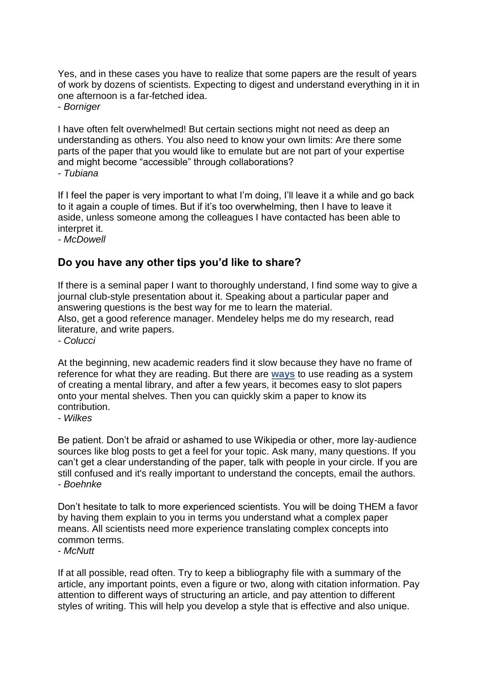Yes, and in these cases you have to realize that some papers are the result of years of work by dozens of scientists. Expecting to digest and understand everything in it in one afternoon is a far-fetched idea.

- *Borniger*

I have often felt overwhelmed! But certain sections might not need as deep an understanding as others. You also need to know your own limits: Are there some parts of the paper that you would like to emulate but are not part of your expertise and might become "accessible" through collaborations? - *Tubiana*

If I feel the paper is very important to what I'm doing, I'll leave it a while and go back to it again a couple of times. But if it's too overwhelming, then I have to leave it aside, unless someone among the colleagues I have contacted has been able to interpret it.

*- McDowell*

# **Do you have any other tips you'd like to share?**

If there is a seminal paper I want to thoroughly understand, I find some way to give a journal club-style presentation about it. Speaking about a particular paper and answering questions is the best way for me to learn the material. Also, get a good reference manager. Mendeley helps me do my research, read literature, and write papers.

*- Colucci*

At the beginning, new academic readers find it slow because they have no frame of reference for what they are reading. But there are **[ways](http://www.amazon.com/Talk-About-Books-Havent-Read/dp/1596915439)** to use reading as a system of creating a mental library, and after a few years, it becomes easy to slot papers onto your mental shelves. Then you can quickly skim a paper to know its contribution.

- *Wilkes*

Be patient. Don't be afraid or ashamed to use Wikipedia or other, more lay-audience sources like blog posts to get a feel for your topic. Ask many, many questions. If you can't get a clear understanding of the paper, talk with people in your circle. If you are still confused and it's really important to understand the concepts, email the authors. *- Boehnke*

Don't hesitate to talk to more experienced scientists. You will be doing THEM a favor by having them explain to you in terms you understand what a complex paper means. All scientists need more experience translating complex concepts into common terms.

- *McNutt*

If at all possible, read often. Try to keep a bibliography file with a summary of the article, any important points, even a figure or two, along with citation information. Pay attention to different ways of structuring an article, and pay attention to different styles of writing. This will help you develop a style that is effective and also unique.